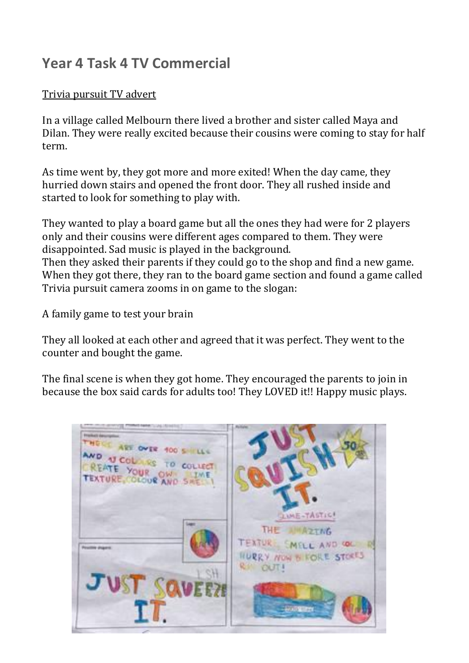## **Year 4 Task 4 TV Commercial**

## Trivia pursuit TV advert

In a village called Melbourn there lived a brother and sister called Maya and Dilan. They were really excited because their cousins were coming to stay for half term.

As time went by, they got more and more exited! When the day came, they hurried down stairs and opened the front door. They all rushed inside and started to look for something to play with.

They wanted to play a board game but all the ones they had were for 2 players only and their cousins were different ages compared to them. They were disappointed. Sad music is played in the background.

Then they asked their parents if they could go to the shop and find a new game. When they got there, they ran to the board game section and found a game called Trivia pursuit camera zooms in on game to the slogan:

A family game to test your brain

They all looked at each other and agreed that it was perfect. They went to the counter and bought the game.

The final scene is when they got home. They encouraged the parents to join in because the box said cards for adults too! They LOVED it!! Happy music plays.

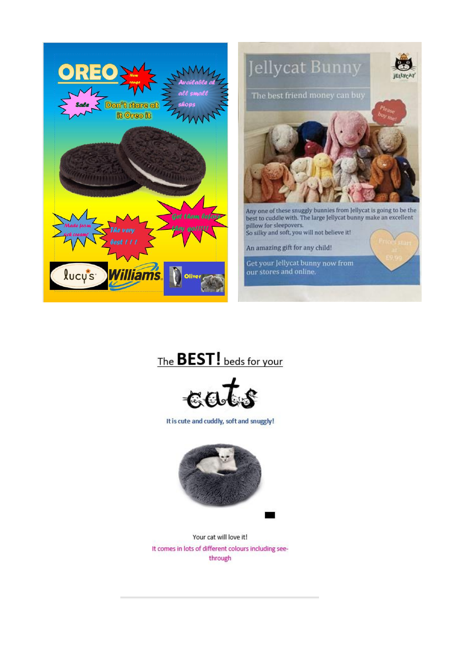



The **BEST!** beds for your



It is cute and cuddly, soft and snuggly!



Your cat will love it! It comes in lots of different colours including seethrough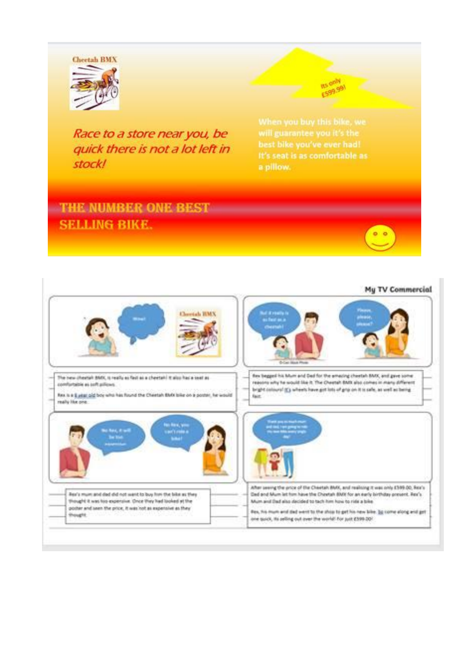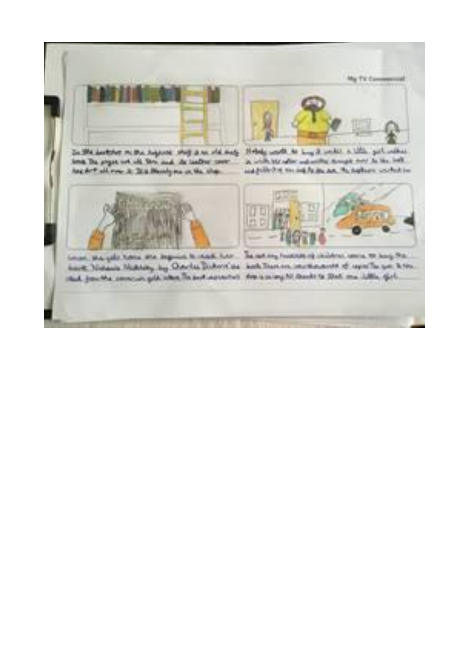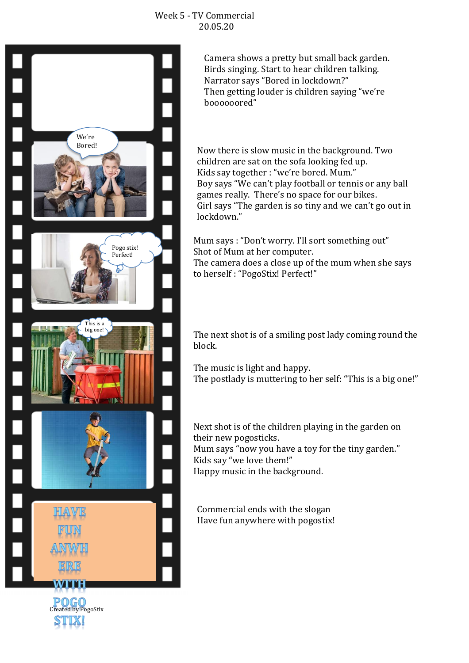

Camera shows a pretty but small back garden. Birds singing. Start to hear children talking. Narrator says "Bored in lockdown?" Then getting louder is children saying "we're boooooored"

Now there is slow music in the background. Two children are sat on the sofa looking fed up. Kids say together : "we're bored. Mum." Boy says "We can't play football or tennis or any ball games really. There's no space for our bikes. Girl says "The garden is so tiny and we can't go out in lockdown."

Mum says : "Don't worry. I'll sort something out" Shot of Mum at her computer. The camera does a close up of the mum when she says to herself : "PogoStix! Perfect!"

The next shot is of a smiling post lady coming round the block.

The music is light and happy. The postlady is muttering to her self: "This is a big one!"

Next shot is of the children playing in the garden on their new pogosticks. Mum says "now you have a toy for the tiny garden." Kids say "we love them!" Happy music in the background.

Commercial ends with the slogan Have fun anywhere with pogostix!